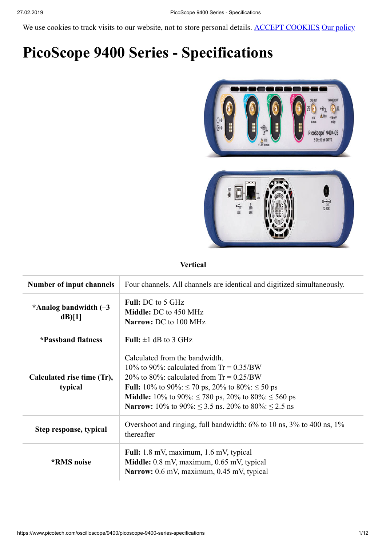We use cookies to track visits to our website, not to store personal details. ACCEPT COOKIES [Our policy](https://www.picotech.com/about/legal-information)

# **PicoScope 9400 Series - Specifications**



#### **Vertical**

| Number of input channels              | Four channels. All channels are identical and digitized simultaneously.                                                                                                                                                                                                                                                                     |
|---------------------------------------|---------------------------------------------------------------------------------------------------------------------------------------------------------------------------------------------------------------------------------------------------------------------------------------------------------------------------------------------|
| *Analog bandwidth $(-3)$<br>$dB$ [1]  | <b>Full:</b> DC to 5 GHz<br><b>Middle: DC</b> to 450 MHz<br>Narrow: DC to 100 MHz                                                                                                                                                                                                                                                           |
| *Passband flatness                    | Full: $\pm 1$ dB to 3 GHz                                                                                                                                                                                                                                                                                                                   |
| Calculated rise time (Tr),<br>typical | Calculated from the bandwidth.<br>10% to 90%; calculated from $Tr = 0.35/BW$<br>20% to 80%; calculated from $Tr = 0.25/BW$<br><b>Full:</b> 10% to 90%: $\leq$ 70 ps, 20% to 80%: $\leq$ 50 ps<br><b>Middle:</b> 10% to 90%: $\leq$ 780 ps, 20% to 80%: $\leq$ 560 ps<br><b>Narrow:</b> 10% to 90%: $\leq$ 3.5 ns. 20% to 80%: $\leq$ 2.5 ns |
| Step response, typical                | Overshoot and ringing, full bandwidth: 6% to 10 ns, 3% to 400 ns, 1%<br>thereafter                                                                                                                                                                                                                                                          |
| <i><b>*RMS</b></i> noise              | Full: 1.8 mV, maximum, 1.6 mV, typical<br>Middle: 0.8 mV, maximum, 0.65 mV, typical<br>Narrow: 0.6 mV, maximum, 0.45 mV, typical                                                                                                                                                                                                            |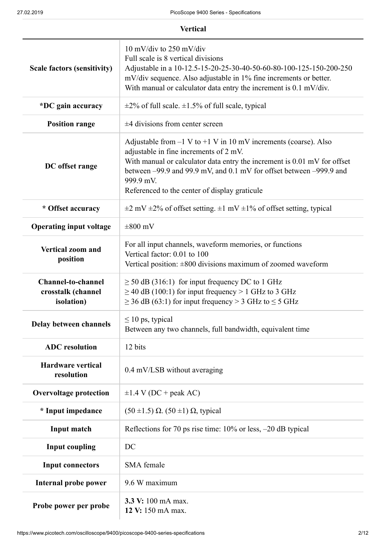| <b>Vertical</b>                                                       |                                                                                                                                                                                                                                                                                                                                |
|-----------------------------------------------------------------------|--------------------------------------------------------------------------------------------------------------------------------------------------------------------------------------------------------------------------------------------------------------------------------------------------------------------------------|
| <b>Scale factors (sensitivity)</b>                                    | 10 mV/div to 250 mV/div<br>Full scale is 8 vertical divisions<br>Adjustable in a 10-12.5-15-20-25-30-40-50-60-80-100-125-150-200-250<br>mV/div sequence. Also adjustable in 1% fine increments or better.<br>With manual or calculator data entry the increment is 0.1 mV/div.                                                 |
| *DC gain accuracy                                                     | $\pm$ 2% of full scale. $\pm$ 1.5% of full scale, typical                                                                                                                                                                                                                                                                      |
| <b>Position range</b>                                                 | $±4$ divisions from center screen                                                                                                                                                                                                                                                                                              |
| DC offset range                                                       | Adjustable from $-1$ V to $+1$ V in 10 mV increments (coarse). Also<br>adjustable in fine increments of 2 mV.<br>With manual or calculator data entry the increment is 0.01 mV for offset<br>between -99.9 and 99.9 mV, and 0.1 mV for offset between -999.9 and<br>999.9 mV.<br>Referenced to the center of display graticule |
| * Offset accuracy                                                     | $\pm 2$ mV $\pm 2\%$ of offset setting. $\pm 1$ mV $\pm 1\%$ of offset setting, typical                                                                                                                                                                                                                                        |
| <b>Operating input voltage</b>                                        | $\pm 800$ mV                                                                                                                                                                                                                                                                                                                   |
| <b>Vertical zoom and</b><br>position                                  | For all input channels, waveform memories, or functions<br>Vertical factor: 0.01 to 100<br>Vertical position: $\pm 800$ divisions maximum of zoomed waveform                                                                                                                                                                   |
| <b>Channel-to-channel</b><br>crosstalk (channel<br><i>isolation</i> ) | $\geq$ 50 dB (316:1) for input frequency DC to 1 GHz<br>$\geq$ 40 dB (100:1) for input frequency > 1 GHz to 3 GHz<br>$\geq$ 36 dB (63:1) for input frequency > 3 GHz to $\leq$ 5 GHz                                                                                                                                           |
| Delay between channels                                                | $\leq 10$ ps, typical<br>Between any two channels, full bandwidth, equivalent time                                                                                                                                                                                                                                             |
| <b>ADC</b> resolution                                                 | 12 bits                                                                                                                                                                                                                                                                                                                        |
| <b>Hardware vertical</b><br>resolution                                | 0.4 mV/LSB without averaging                                                                                                                                                                                                                                                                                                   |
| <b>Overvoltage protection</b>                                         | $\pm 1.4$ V (DC + peak AC)                                                                                                                                                                                                                                                                                                     |
| * Input impedance                                                     | $(50 \pm 1.5)$ $\Omega$ . $(50 \pm 1)$ $\Omega$ , typical                                                                                                                                                                                                                                                                      |
| Input match                                                           | Reflections for 70 ps rise time: 10% or less, -20 dB typical                                                                                                                                                                                                                                                                   |
| <b>Input coupling</b>                                                 | DC                                                                                                                                                                                                                                                                                                                             |
| <b>Input connectors</b>                                               | SMA female                                                                                                                                                                                                                                                                                                                     |
| <b>Internal probe power</b>                                           | 9.6 W maximum                                                                                                                                                                                                                                                                                                                  |
| Probe power per probe                                                 | 3.3 V: 100 mA max.<br>12 V: 150 mA max.                                                                                                                                                                                                                                                                                        |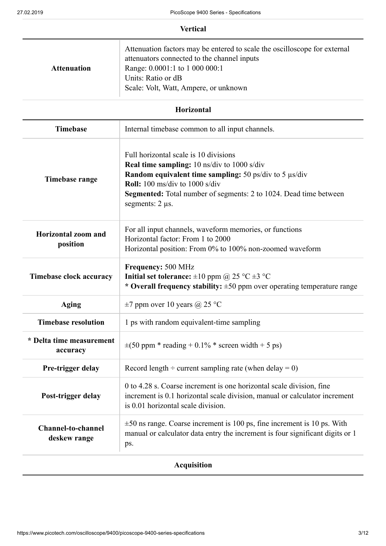## **Vertical**

| <b>Attenuation</b> | Attenuation factors may be entered to scale the oscilloscope for external<br>attenuators connected to the channel inputs<br>Range: 0.0001:1 to 1 000 000:1<br>Units: Ratio or dB<br>Scale: Volt, Watt, Ampere, or unknown |
|--------------------|---------------------------------------------------------------------------------------------------------------------------------------------------------------------------------------------------------------------------|

# **Horizontal**

| <b>Timebase</b>                           | Internal timebase common to all input channels.                                                                                                                                                                                                                                              |
|-------------------------------------------|----------------------------------------------------------------------------------------------------------------------------------------------------------------------------------------------------------------------------------------------------------------------------------------------|
| Timebase range                            | Full horizontal scale is 10 divisions<br><b>Real time sampling:</b> 10 ns/div to 1000 s/div<br>Random equivalent time sampling: 50 ps/div to 5 µs/div<br><b>Roll:</b> 100 ms/div to 1000 s/div<br>Segmented: Total number of segments: 2 to 1024. Dead time between<br>segments: $2 \mu s$ . |
| <b>Horizontal zoom and</b><br>position    | For all input channels, waveform memories, or functions<br>Horizontal factor: From 1 to 2000<br>Horizontal position: From 0% to 100% non-zoomed waveform                                                                                                                                     |
| <b>Timebase clock accuracy</b>            | Frequency: 500 MHz<br>Initial set tolerance: $\pm 10$ ppm @ 25 °C $\pm 3$ °C<br>* Overall frequency stability: $\pm 50$ ppm over operating temperature range                                                                                                                                 |
| <b>Aging</b>                              | $\pm$ 7 ppm over 10 years @ 25 °C                                                                                                                                                                                                                                                            |
| <b>Timebase resolution</b>                | 1 ps with random equivalent-time sampling                                                                                                                                                                                                                                                    |
| * Delta time measurement<br>accuracy      | $\pm (50$ ppm * reading + 0.1% * screen width + 5 ps)                                                                                                                                                                                                                                        |
| Pre-trigger delay                         | Record length $\div$ current sampling rate (when delay = 0)                                                                                                                                                                                                                                  |
| Post-trigger delay                        | 0 to 4.28 s. Coarse increment is one horizontal scale division, fine<br>increment is 0.1 horizontal scale division, manual or calculator increment<br>is 0.01 horizontal scale division.                                                                                                     |
| <b>Channel-to-channel</b><br>deskew range | $\pm 50$ ns range. Coarse increment is 100 ps, fine increment is 10 ps. With<br>manual or calculator data entry the increment is four significant digits or 1<br>ps.                                                                                                                         |

# **Acquisition**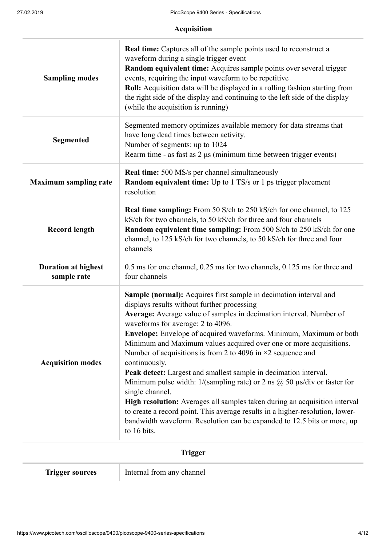| <b>Acquisition</b>                        |                                                                                                                                                                                                                                                                                                                                                                                                                                                                                                                                                                                                                                                                                                                                                                                                                                                                                                                     |
|-------------------------------------------|---------------------------------------------------------------------------------------------------------------------------------------------------------------------------------------------------------------------------------------------------------------------------------------------------------------------------------------------------------------------------------------------------------------------------------------------------------------------------------------------------------------------------------------------------------------------------------------------------------------------------------------------------------------------------------------------------------------------------------------------------------------------------------------------------------------------------------------------------------------------------------------------------------------------|
| <b>Sampling modes</b>                     | <b>Real time:</b> Captures all of the sample points used to reconstruct a<br>waveform during a single trigger event<br>Random equivalent time: Acquires sample points over several trigger<br>events, requiring the input waveform to be repetitive<br>Roll: Acquisition data will be displayed in a rolling fashion starting from<br>the right side of the display and continuing to the left side of the display<br>(while the acquisition is running)                                                                                                                                                                                                                                                                                                                                                                                                                                                            |
| <b>Segmented</b>                          | Segmented memory optimizes available memory for data streams that<br>have long dead times between activity.<br>Number of segments: up to 1024<br>Rearm time - as fast as 2 µs (minimum time between trigger events)                                                                                                                                                                                                                                                                                                                                                                                                                                                                                                                                                                                                                                                                                                 |
| <b>Maximum sampling rate</b>              | <b>Real time:</b> 500 MS/s per channel simultaneously<br><b>Random equivalent time:</b> Up to 1 TS/s or 1 ps trigger placement<br>resolution                                                                                                                                                                                                                                                                                                                                                                                                                                                                                                                                                                                                                                                                                                                                                                        |
| <b>Record length</b>                      | <b>Real time sampling:</b> From 50 S/ch to 250 kS/ch for one channel, to 125<br>kS/ch for two channels, to 50 kS/ch for three and four channels<br>Random equivalent time sampling: From 500 S/ch to 250 kS/ch for one<br>channel, to 125 kS/ch for two channels, to 50 kS/ch for three and four<br>channels                                                                                                                                                                                                                                                                                                                                                                                                                                                                                                                                                                                                        |
| <b>Duration at highest</b><br>sample rate | 0.5 ms for one channel, 0.25 ms for two channels, 0.125 ms for three and<br>four channels                                                                                                                                                                                                                                                                                                                                                                                                                                                                                                                                                                                                                                                                                                                                                                                                                           |
| <b>Acquisition modes</b>                  | <b>Sample (normal):</b> Acquires first sample in decimation interval and<br>displays results without further processing<br>Average: Average value of samples in decimation interval. Number of<br>waveforms for average: 2 to 4096.<br>Envelope: Envelope of acquired waveforms. Minimum, Maximum or both<br>Minimum and Maximum values acquired over one or more acquisitions.<br>Number of acquisitions is from 2 to 4096 in $\times$ 2 sequence and<br>continuously.<br>Peak detect: Largest and smallest sample in decimation interval.<br>Minimum pulse width: $1/(sampling\ rate)$ or 2 ns $\omega$ 50 $\mu s$ /div or faster for<br>single channel.<br>High resolution: Averages all samples taken during an acquisition interval<br>to create a record point. This average results in a higher-resolution, lower-<br>bandwidth waveform. Resolution can be expanded to 12.5 bits or more, up<br>to 16 bits. |

# **Trigger**

**Trigger sources** Internal from any channel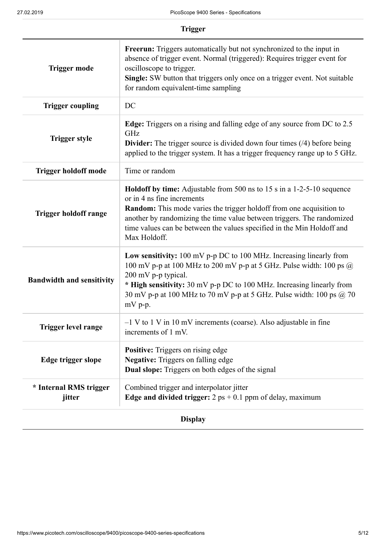|                                  | <b>Trigger</b>                                                                                                                                                                                                                                                                                                                                                 |
|----------------------------------|----------------------------------------------------------------------------------------------------------------------------------------------------------------------------------------------------------------------------------------------------------------------------------------------------------------------------------------------------------------|
| <b>Trigger mode</b>              | Freerun: Triggers automatically but not synchronized to the input in<br>absence of trigger event. Normal (triggered): Requires trigger event for<br>oscilloscope to trigger.<br><b>Single:</b> SW button that triggers only once on a trigger event. Not suitable<br>for random equivalent-time sampling                                                       |
| <b>Trigger coupling</b>          | DC                                                                                                                                                                                                                                                                                                                                                             |
| <b>Trigger style</b>             | <b>Edge:</b> Triggers on a rising and falling edge of any source from DC to 2.5<br>GHz<br><b>Divider:</b> The trigger source is divided down four times $(4)$ before being<br>applied to the trigger system. It has a trigger frequency range up to 5 GHz.                                                                                                     |
| <b>Trigger holdoff mode</b>      | Time or random                                                                                                                                                                                                                                                                                                                                                 |
| <b>Trigger holdoff range</b>     | <b>Holdoff by time:</b> Adjustable from 500 ns to 15 s in a 1-2-5-10 sequence<br>or in 4 ns fine increments<br><b>Random:</b> This mode varies the trigger holdoff from one acquisition to<br>another by randomizing the time value between triggers. The randomized<br>time values can be between the values specified in the Min Holdoff and<br>Max Holdoff. |
| <b>Bandwidth and sensitivity</b> | Low sensitivity: 100 mV p-p DC to 100 MHz. Increasing linearly from<br>100 mV p-p at 100 MHz to 200 mV p-p at 5 GHz. Pulse width: 100 ps $\omega$<br>200 mV p-p typical.<br>* High sensitivity: 30 mV p-p DC to 100 MHz. Increasing linearly from<br>30 mV p-p at 100 MHz to 70 mV p-p at 5 GHz. Pulse width: 100 ps $\omega$ 70<br>$mV$ p-p.                  |
| <b>Trigger level range</b>       | -1 V to 1 V in 10 mV increments (coarse). Also adjustable in fine<br>increments of 1 mV.                                                                                                                                                                                                                                                                       |
| Edge trigger slope               | <b>Positive:</b> Triggers on rising edge<br><b>Negative:</b> Triggers on falling edge<br><b>Dual slope:</b> Triggers on both edges of the signal                                                                                                                                                                                                               |
| * Internal RMS trigger           | Combined trigger and interpolator jitter<br>Edge and divided trigger: $2 ps + 0.1 ppm$ of delay, maximum                                                                                                                                                                                                                                                       |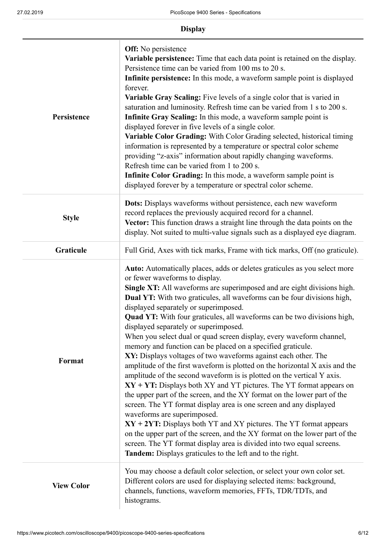| <b>Display</b>    |                                                                                                                                                                                                                                                                                                                                                                                                                                                                                                                                                                                                                                                                                                                                                                                                                                                                                                                                                                                                                                                                                                                                                                                                                                                                                                                                                                               |
|-------------------|-------------------------------------------------------------------------------------------------------------------------------------------------------------------------------------------------------------------------------------------------------------------------------------------------------------------------------------------------------------------------------------------------------------------------------------------------------------------------------------------------------------------------------------------------------------------------------------------------------------------------------------------------------------------------------------------------------------------------------------------------------------------------------------------------------------------------------------------------------------------------------------------------------------------------------------------------------------------------------------------------------------------------------------------------------------------------------------------------------------------------------------------------------------------------------------------------------------------------------------------------------------------------------------------------------------------------------------------------------------------------------|
| Persistence       | <b>Off:</b> No persistence<br>Variable persistence: Time that each data point is retained on the display.<br>Persistence time can be varied from 100 ms to 20 s.<br>Infinite persistence: In this mode, a waveform sample point is displayed<br>forever.<br>Variable Gray Scaling: Five levels of a single color that is varied in<br>saturation and luminosity. Refresh time can be varied from 1 s to 200 s.<br>Infinite Gray Scaling: In this mode, a waveform sample point is<br>displayed forever in five levels of a single color.<br>Variable Color Grading: With Color Grading selected, historical timing<br>information is represented by a temperature or spectral color scheme<br>providing "z-axis" information about rapidly changing waveforms.<br>Refresh time can be varied from 1 to 200 s.<br>Infinite Color Grading: In this mode, a waveform sample point is<br>displayed forever by a temperature or spectral color scheme.                                                                                                                                                                                                                                                                                                                                                                                                                             |
| <b>Style</b>      | Dots: Displays waveforms without persistence, each new waveform<br>record replaces the previously acquired record for a channel.<br>Vector: This function draws a straight line through the data points on the<br>display. Not suited to multi-value signals such as a displayed eye diagram.                                                                                                                                                                                                                                                                                                                                                                                                                                                                                                                                                                                                                                                                                                                                                                                                                                                                                                                                                                                                                                                                                 |
| Graticule         | Full Grid, Axes with tick marks, Frame with tick marks, Off (no graticule).                                                                                                                                                                                                                                                                                                                                                                                                                                                                                                                                                                                                                                                                                                                                                                                                                                                                                                                                                                                                                                                                                                                                                                                                                                                                                                   |
| Format            | <b>Auto:</b> Automatically places, adds or deletes graticules as you select more<br>or fewer waveforms to display.<br>Single XT: All waveforms are superimposed and are eight divisions high.<br><b>Dual YT:</b> With two graticules, all waveforms can be four divisions high,<br>displayed separately or superimposed.<br><b>Quad YT:</b> With four graticules, all waveforms can be two divisions high,<br>displayed separately or superimposed.<br>When you select dual or quad screen display, every waveform channel,<br>memory and function can be placed on a specified graticule.<br>XY: Displays voltages of two waveforms against each other. The<br>amplitude of the first waveform is plotted on the horizontal X axis and the<br>amplitude of the second waveform is is plotted on the vertical Y axis.<br>$XY + YT$ : Displays both XY and YT pictures. The YT format appears on<br>the upper part of the screen, and the XY format on the lower part of the<br>screen. The YT format display area is one screen and any displayed<br>waveforms are superimposed.<br>$XY + 2YT$ : Displays both YT and XY pictures. The YT format appears<br>on the upper part of the screen, and the XY format on the lower part of the<br>screen. The YT format display area is divided into two equal screens.<br>Tandem: Displays graticules to the left and to the right. |
| <b>View Color</b> | You may choose a default color selection, or select your own color set.<br>Different colors are used for displaying selected items: background,<br>channels, functions, waveform memories, FFTs, TDR/TDTs, and<br>histograms.                                                                                                                                                                                                                                                                                                                                                                                                                                                                                                                                                                                                                                                                                                                                                                                                                                                                                                                                                                                                                                                                                                                                                 |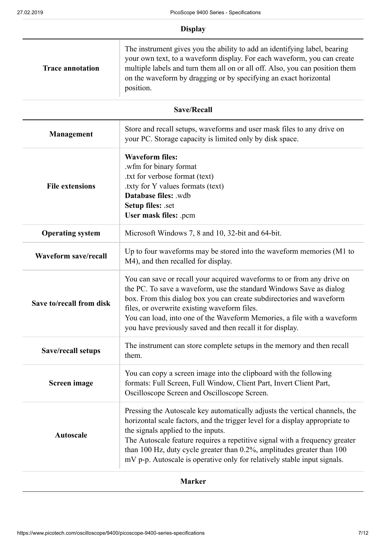|                             | <b>Display</b>                                                                                                                                                                                                                                                                                                                                                                                                                         |
|-----------------------------|----------------------------------------------------------------------------------------------------------------------------------------------------------------------------------------------------------------------------------------------------------------------------------------------------------------------------------------------------------------------------------------------------------------------------------------|
| <b>Trace annotation</b>     | The instrument gives you the ability to add an identifying label, bearing<br>your own text, to a waveform display. For each waveform, you can create<br>multiple labels and turn them all on or all off. Also, you can position them<br>on the waveform by dragging or by specifying an exact horizontal<br>position.                                                                                                                  |
|                             | <b>Save/Recall</b>                                                                                                                                                                                                                                                                                                                                                                                                                     |
| <b>Management</b>           | Store and recall setups, waveforms and user mask files to any drive on<br>your PC. Storage capacity is limited only by disk space.                                                                                                                                                                                                                                                                                                     |
| <b>File extensions</b>      | <b>Waveform files:</b><br>.wfm for binary format<br>.txt for verbose format (text)<br>txty for Y values formats (text).<br>Database files: .wdb<br>Setup files: .set<br>User mask files: .pcm                                                                                                                                                                                                                                          |
| <b>Operating system</b>     | Microsoft Windows 7, 8 and 10, 32-bit and 64-bit.                                                                                                                                                                                                                                                                                                                                                                                      |
| <b>Waveform save/recall</b> | Up to four waveforms may be stored into the waveform memories (M1 to<br>M4), and then recalled for display.                                                                                                                                                                                                                                                                                                                            |
| Save to/recall from disk    | You can save or recall your acquired waveforms to or from any drive on<br>the PC. To save a waveform, use the standard Windows Save as dialog<br>box. From this dialog box you can create subdirectories and waveform<br>files, or overwrite existing waveform files.<br>You can load, into one of the Waveform Memories, a file with a waveform<br>you have previously saved and then recall it for display.                          |
| <b>Save/recall setups</b>   | The instrument can store complete setups in the memory and then recall<br>them.                                                                                                                                                                                                                                                                                                                                                        |
| <b>Screen</b> image         | You can copy a screen image into the clipboard with the following<br>formats: Full Screen, Full Window, Client Part, Invert Client Part,<br>Oscilloscope Screen and Oscilloscope Screen.                                                                                                                                                                                                                                               |
| <b>Autoscale</b>            | Pressing the Autoscale key automatically adjusts the vertical channels, the<br>horizontal scale factors, and the trigger level for a display appropriate to<br>the signals applied to the inputs.<br>The Autoscale feature requires a repetitive signal with a frequency greater<br>than 100 Hz, duty cycle greater than 0.2%, amplitudes greater than 100<br>mV p-p. Autoscale is operative only for relatively stable input signals. |

# **Marker**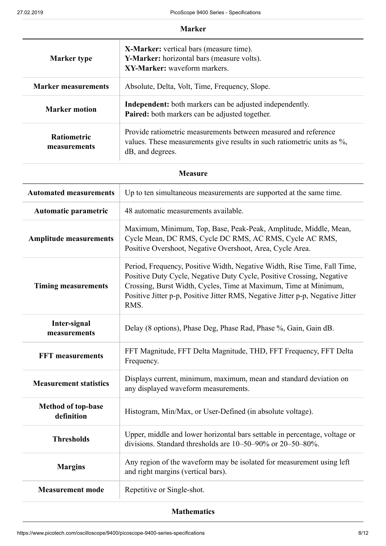#### **Marker**

| <b>Marker type</b>                 | <b>X-Marker:</b> vertical bars (measure time).<br>Y-Marker: horizontal bars (measure volts).<br>XY-Marker: waveform markers.                                   |  |
|------------------------------------|----------------------------------------------------------------------------------------------------------------------------------------------------------------|--|
| <b>Marker measurements</b>         | Absolute, Delta, Volt, Time, Frequency, Slope.                                                                                                                 |  |
| <b>Marker motion</b>               | <b>Independent:</b> both markers can be adjusted independently.<br>Paired: both markers can be adjusted together.                                              |  |
| <b>Ratiometric</b><br>measurements | Provide ratiometric measurements between measured and reference<br>values. These measurements give results in such ratiometric units as %,<br>dB, and degrees. |  |

#### **Measure**

| <b>Automated measurements</b>           | Up to ten simultaneous measurements are supported at the same time.                                                                                                                                                                                                                                             |
|-----------------------------------------|-----------------------------------------------------------------------------------------------------------------------------------------------------------------------------------------------------------------------------------------------------------------------------------------------------------------|
| Automatic parametric                    | 48 automatic measurements available.                                                                                                                                                                                                                                                                            |
| <b>Amplitude measurements</b>           | Maximum, Minimum, Top, Base, Peak-Peak, Amplitude, Middle, Mean,<br>Cycle Mean, DC RMS, Cycle DC RMS, AC RMS, Cycle AC RMS,<br>Positive Overshoot, Negative Overshoot, Area, Cycle Area.                                                                                                                        |
| <b>Timing measurements</b>              | Period, Frequency, Positive Width, Negative Width, Rise Time, Fall Time,<br>Positive Duty Cycle, Negative Duty Cycle, Positive Crossing, Negative<br>Crossing, Burst Width, Cycles, Time at Maximum, Time at Minimum,<br>Positive Jitter p-p, Positive Jitter RMS, Negative Jitter p-p, Negative Jitter<br>RMS. |
| Inter-signal<br>measurements            | Delay (8 options), Phase Deg, Phase Rad, Phase %, Gain, Gain dB.                                                                                                                                                                                                                                                |
| <b>FFT</b> measurements                 | FFT Magnitude, FFT Delta Magnitude, THD, FFT Frequency, FFT Delta<br>Frequency.                                                                                                                                                                                                                                 |
| <b>Measurement statistics</b>           | Displays current, minimum, maximum, mean and standard deviation on<br>any displayed waveform measurements.                                                                                                                                                                                                      |
| <b>Method of top-base</b><br>definition | Histogram, Min/Max, or User-Defined (in absolute voltage).                                                                                                                                                                                                                                                      |
| <b>Thresholds</b>                       | Upper, middle and lower horizontal bars settable in percentage, voltage or<br>divisions. Standard thresholds are 10–50–90% or 20–50–80%.                                                                                                                                                                        |
| <b>Margins</b>                          | Any region of the waveform may be isolated for measurement using left<br>and right margins (vertical bars).                                                                                                                                                                                                     |
| <b>Measurement mode</b>                 | Repetitive or Single-shot.                                                                                                                                                                                                                                                                                      |

#### **Mathematics**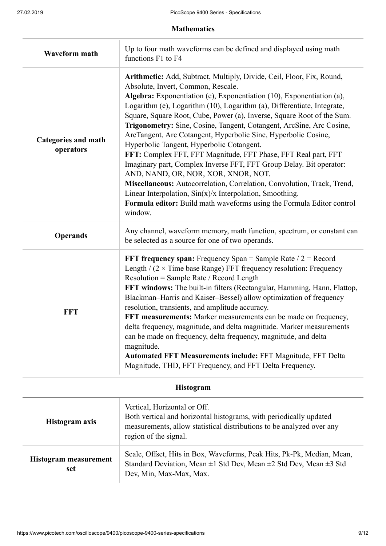**Mathematics**

| <b>Waveform math</b>                    | Up to four math waveforms can be defined and displayed using math<br>functions F1 to F4                                                                                                                                                                                                                                                                                                                                                                                                                                                                                                                                                                                                                                                                                                                                                                                                                                                       |
|-----------------------------------------|-----------------------------------------------------------------------------------------------------------------------------------------------------------------------------------------------------------------------------------------------------------------------------------------------------------------------------------------------------------------------------------------------------------------------------------------------------------------------------------------------------------------------------------------------------------------------------------------------------------------------------------------------------------------------------------------------------------------------------------------------------------------------------------------------------------------------------------------------------------------------------------------------------------------------------------------------|
| <b>Categories and math</b><br>operators | Arithmetic: Add, Subtract, Multiply, Divide, Ceil, Floor, Fix, Round,<br>Absolute, Invert, Common, Rescale.<br>Algebra: Exponentiation (e), Exponentiation (10), Exponentiation (a),<br>Logarithm (e), Logarithm (10), Logarithm (a), Differentiate, Integrate,<br>Square, Square Root, Cube, Power (a), Inverse, Square Root of the Sum.<br>Trigonometry: Sine, Cosine, Tangent, Cotangent, ArcSine, Arc Cosine,<br>ArcTangent, Arc Cotangent, Hyperbolic Sine, Hyperbolic Cosine,<br>Hyperbolic Tangent, Hyperbolic Cotangent.<br>FFT: Complex FFT, FFT Magnitude, FFT Phase, FFT Real part, FFT<br>Imaginary part, Complex Inverse FFT, FFT Group Delay. Bit operator:<br>AND, NAND, OR, NOR, XOR, XNOR, NOT.<br>Miscellaneous: Autocorrelation, Correlation, Convolution, Track, Trend,<br>Linear Interpolation, $Sin(x)/x$ Interpolation, Smoothing.<br>Formula editor: Build math waveforms using the Formula Editor control<br>window. |
| <b>Operands</b>                         | Any channel, waveform memory, math function, spectrum, or constant can<br>be selected as a source for one of two operands.                                                                                                                                                                                                                                                                                                                                                                                                                                                                                                                                                                                                                                                                                                                                                                                                                    |
| <b>FFT</b>                              | <b>FFT frequency span:</b> Frequency Span = Sample Rate $/2$ = Record<br>Length / $(2 \times$ Time base Range) FFT frequency resolution: Frequency<br>Resolution = Sample Rate / Record Length<br>FFT windows: The built-in filters (Rectangular, Hamming, Hann, Flattop,<br>Blackman-Harris and Kaiser-Bessel) allow optimization of frequency<br>resolution, transients, and amplitude accuracy.<br>FFT measurements: Marker measurements can be made on frequency,<br>delta frequency, magnitude, and delta magnitude. Marker measurements<br>can be made on frequency, delta frequency, magnitude, and delta<br>magnitude.<br>Automated FFT Measurements include: FFT Magnitude, FFT Delta<br>Magnitude, THD, FFT Frequency, and FFT Delta Frequency.                                                                                                                                                                                     |

| <b>Histogram</b>             |                                                                                                                                                                                                      |
|------------------------------|------------------------------------------------------------------------------------------------------------------------------------------------------------------------------------------------------|
| Histogram axis               | Vertical, Horizontal or Off.<br>Both vertical and horizontal histograms, with periodically updated<br>measurements, allow statistical distributions to be analyzed over any<br>region of the signal. |
| Histogram measurement<br>set | Scale, Offset, Hits in Box, Waveforms, Peak Hits, Pk-Pk, Median, Mean,<br>Standard Deviation, Mean $\pm 1$ Std Dev, Mean $\pm 2$ Std Dev, Mean $\pm 3$ Std<br>Dev, Min, Max-Max, Max.                |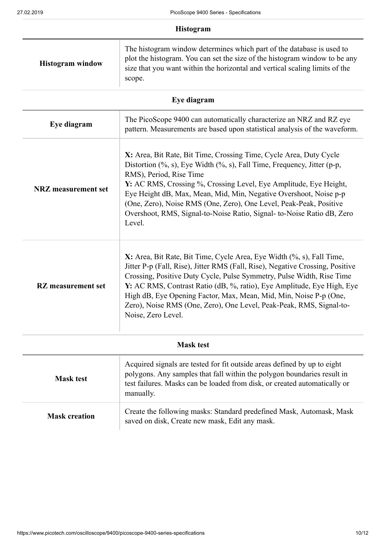|                            | Histogram                                                                                                                                                                                                                                                                                                                                                                                                                                                                           |
|----------------------------|-------------------------------------------------------------------------------------------------------------------------------------------------------------------------------------------------------------------------------------------------------------------------------------------------------------------------------------------------------------------------------------------------------------------------------------------------------------------------------------|
| <b>Histogram</b> window    | The histogram window determines which part of the database is used to<br>plot the histogram. You can set the size of the histogram window to be any<br>size that you want within the horizontal and vertical scaling limits of the<br>scope.                                                                                                                                                                                                                                        |
|                            | Eye diagram                                                                                                                                                                                                                                                                                                                                                                                                                                                                         |
| Eye diagram                | The PicoScope 9400 can automatically characterize an NRZ and RZ eye<br>pattern. Measurements are based upon statistical analysis of the waveform.                                                                                                                                                                                                                                                                                                                                   |
| <b>NRZ</b> measurement set | X: Area, Bit Rate, Bit Time, Crossing Time, Cycle Area, Duty Cycle<br>Distortion $(\%$ , s), Eye Width $(\%$ , s), Fall Time, Frequency, Jitter (p-p,<br>RMS), Period, Rise Time<br>Y: AC RMS, Crossing %, Crossing Level, Eye Amplitude, Eye Height,<br>Eye Height dB, Max, Mean, Mid, Min, Negative Overshoot, Noise p-p<br>(One, Zero), Noise RMS (One, Zero), One Level, Peak-Peak, Positive<br>Overshoot, RMS, Signal-to-Noise Ratio, Signal-to-Noise Ratio dB, Zero<br>Level. |
| <b>RZ</b> measurement set  | X: Area, Bit Rate, Bit Time, Cycle Area, Eye Width (%, s), Fall Time,<br>Jitter P-p (Fall, Rise), Jitter RMS (Fall, Rise), Negative Crossing, Positive<br>Crossing, Positive Duty Cycle, Pulse Symmetry, Pulse Width, Rise Time<br>Y: AC RMS, Contrast Ratio (dB, %, ratio), Eye Amplitude, Eye High, Eye<br>High dB, Eye Opening Factor, Max, Mean, Mid, Min, Noise P-p (One,<br>Zero), Noise RMS (One, Zero), One Level, Peak-Peak, RMS, Signal-to-<br>Noise, Zero Level.         |
| <b>Mask test</b>           |                                                                                                                                                                                                                                                                                                                                                                                                                                                                                     |
|                            |                                                                                                                                                                                                                                                                                                                                                                                                                                                                                     |

| <b>Mask test</b>     | Acquired signals are tested for fit outside areas defined by up to eight<br>polygons. Any samples that fall within the polygon boundaries result in<br>test failures. Masks can be loaded from disk, or created automatically or<br>manually. |
|----------------------|-----------------------------------------------------------------------------------------------------------------------------------------------------------------------------------------------------------------------------------------------|
| <b>Mask creation</b> | Create the following masks: Standard predefined Mask, Automask, Mask<br>saved on disk, Create new mask, Edit any mask.                                                                                                                        |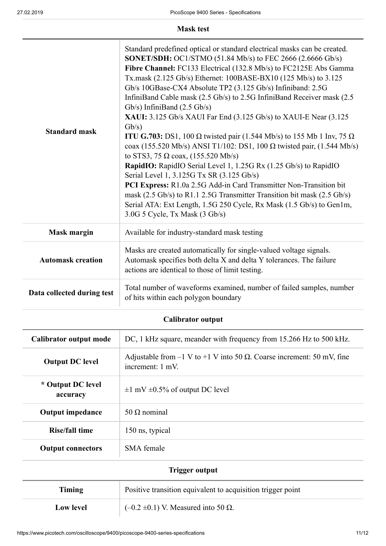**Mask test**

| <b>Standard mask</b>       | Standard predefined optical or standard electrical masks can be created.<br><b>SONET/SDH:</b> OC1/STMO (51.84 Mb/s) to FEC 2666 (2.6666 Gb/s)<br>Fibre Channel: FC133 Electrical (132.8 Mb/s) to FC2125E Abs Gamma<br>Tx.mask (2.125 Gb/s) Ethernet: 100BASE-BX10 (125 Mb/s) to 3.125<br>Gb/s 10GBase-CX4 Absolute TP2 (3.125 Gb/s) Infiniband: 2.5G<br>InfiniBand Cable mask (2.5 Gb/s) to 2.5G InfiniBand Receiver mask (2.5<br>Gb/s) InfiniBand $(2.5 \text{Gb/s})$<br>XAUI: 3.125 Gb/s XAUI Far End (3.125 Gb/s) to XAUI-E Near (3.125<br>Gb/s)<br><b>ITU G.703:</b> DS1, 100 $\Omega$ twisted pair (1.544 Mb/s) to 155 Mb 1 Inv, 75 $\Omega$<br>coax (155.520 Mb/s) ANSI T1/102: DS1, 100 Ω twisted pair, (1.544 Mb/s)<br>to STS3, 75 $\Omega$ coax, (155.520 Mb/s)<br>RapidIO: RapidIO Serial Level 1, 1.25G Rx (1.25 Gb/s) to RapidIO<br>Serial Level 1, 3.125G Tx SR (3.125 Gb/s)<br>PCI Express: R1.0a 2.5G Add-in Card Transmitter Non-Transition bit<br>mask (2.5 Gb/s) to R1.1 2.5G Transmitter Transition bit mask (2.5 Gb/s)<br>Serial ATA: Ext Length, 1.5G 250 Cycle, Rx Mask (1.5 Gb/s) to Gen1m,<br>3.0G 5 Cycle, Tx Mask (3 Gb/s) |
|----------------------------|------------------------------------------------------------------------------------------------------------------------------------------------------------------------------------------------------------------------------------------------------------------------------------------------------------------------------------------------------------------------------------------------------------------------------------------------------------------------------------------------------------------------------------------------------------------------------------------------------------------------------------------------------------------------------------------------------------------------------------------------------------------------------------------------------------------------------------------------------------------------------------------------------------------------------------------------------------------------------------------------------------------------------------------------------------------------------------------------------------------------------------------------------|
| <b>Mask margin</b>         | Available for industry-standard mask testing                                                                                                                                                                                                                                                                                                                                                                                                                                                                                                                                                                                                                                                                                                                                                                                                                                                                                                                                                                                                                                                                                                         |
| <b>Automask creation</b>   | Masks are created automatically for single-valued voltage signals.<br>Automask specifies both delta X and delta Y tolerances. The failure<br>actions are identical to those of limit testing.                                                                                                                                                                                                                                                                                                                                                                                                                                                                                                                                                                                                                                                                                                                                                                                                                                                                                                                                                        |
| Data collected during test | Total number of waveforms examined, number of failed samples, number<br>of hits within each polygon boundary                                                                                                                                                                                                                                                                                                                                                                                                                                                                                                                                                                                                                                                                                                                                                                                                                                                                                                                                                                                                                                         |

**Calibrator output**

| Calibrator output mode        | DC, 1 kHz square, meander with frequency from 15.266 Hz to 500 kHz.                                  |
|-------------------------------|------------------------------------------------------------------------------------------------------|
| <b>Output DC level</b>        | Adjustable from $-1$ V to $+1$ V into 50 $\Omega$ . Coarse increment: 50 mV, fine<br>increment: 1 mV |
| * Output DC level<br>accuracy | $\pm 1$ mV $\pm 0.5\%$ of output DC level                                                            |
| <b>Output impedance</b>       | 50 $\Omega$ nominal                                                                                  |
| Rise/fall time                | 150 ns, typical                                                                                      |
| <b>Output connectors</b>      | SMA female                                                                                           |
| Trigger output                |                                                                                                      |

| Timing           | Positive transition equivalent to acquisition trigger point |
|------------------|-------------------------------------------------------------|
| <b>Low level</b> | $(-0.2 \pm 0.1)$ V. Measured into 50 $\Omega$ .             |